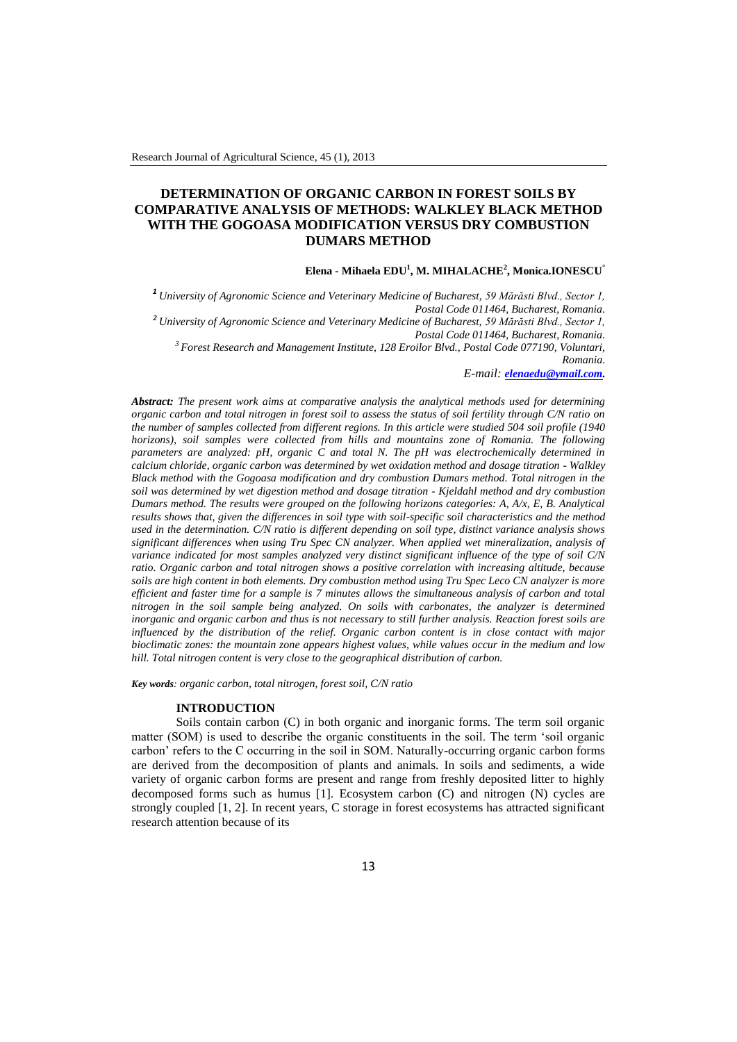# **DETERMINATION OF ORGANIC CARBON IN FOREST SOILS BY COMPARATIVE ANALYSIS OF METHODS: WALKLEY BLACK METHOD WITH THE GOGOASA MODIFICATION VERSUS DRY COMBUSTION DUMARS METHOD**

## **Elena - Mihaela EDU<sup>1</sup> , M. MIHALACHE<sup>2</sup> , Monica.IONESCU°**

*<sup>1</sup>University of Agronomic Science and Veterinary Medicine of Bucharest, 59 Mărăsti Blvd., Sector 1, Postal Code 011464, Bucharest, Romania. <sup>2</sup>University of Agronomic Science and Veterinary Medicine of Bucharest, 59 Mărăsti Blvd., Sector 1, Postal Code 011464, Bucharest, Romania.*

*<sup>3</sup>Forest Research and Management Institute, 128 Eroilor Blvd., Postal Code 077190, Voluntari, Romania.*

*E-mail: [elenaedu@ymail.com.](mailto:elenaedu@ymail.com)*

*Abstract: The present work aims at comparative analysis the analytical methods used for determining organic carbon and total nitrogen in forest soil to assess the status of soil fertility through C/N ratio on the number of samples collected from different regions. In this article were studied 504 soil profile (1940 horizons), soil samples were collected from hills and mountains zone of Romania. The following parameters are analyzed: pH, organic C and total N. The pH was electrochemically determined in calcium chloride, organic carbon was determined by wet oxidation method and dosage titration - Walkley Black method with the Gogoasa modification and dry combustion Dumars method. Total nitrogen in the soil was determined by wet digestion method and dosage titration - Kjeldahl method and dry combustion Dumars method. The results were grouped on the following horizons categories: A, A/x, E, B. Analytical results shows that, given the differences in soil type with soil-specific soil characteristics and the method used in the determination. C/N ratio is different depending on soil type, distinct variance analysis shows significant differences when using Tru Spec CN analyzer. When applied wet mineralization, analysis of variance indicated for most samples analyzed very distinct significant influence of the type of soil C/N ratio. Organic carbon and total nitrogen shows a positive correlation with increasing altitude, because soils are high content in both elements. Dry combustion method using Tru Spec Leco CN analyzer is more efficient and faster time for a sample is 7 minutes allows the simultaneous analysis of carbon and total nitrogen in the soil sample being analyzed. On soils with carbonates, the analyzer is determined inorganic and organic carbon and thus is not necessary to still further analysis. Reaction forest soils are influenced by the distribution of the relief. Organic carbon content is in close contact with major bioclimatic zones: the mountain zone appears highest values, while values occur in the medium and low hill. Total nitrogen content is very close to the geographical distribution of carbon.*

*Key words: organic carbon, total nitrogen, forest soil, C/N ratio*

#### **INTRODUCTION**

Soils contain carbon (C) in both organic and inorganic forms. The term soil organic matter (SOM) is used to describe the organic constituents in the soil. The term 'soil organic carbon' refers to the C occurring in the soil in SOM. Naturally-occurring organic carbon forms are derived from the decomposition of plants and animals. In soils and sediments, a wide variety of organic carbon forms are present and range from freshly deposited litter to highly decomposed forms such as humus [1]. Ecosystem carbon (C) and nitrogen (N) cycles are strongly coupled [1, 2]. In recent years, C storage in forest ecosystems has attracted significant research attention because of its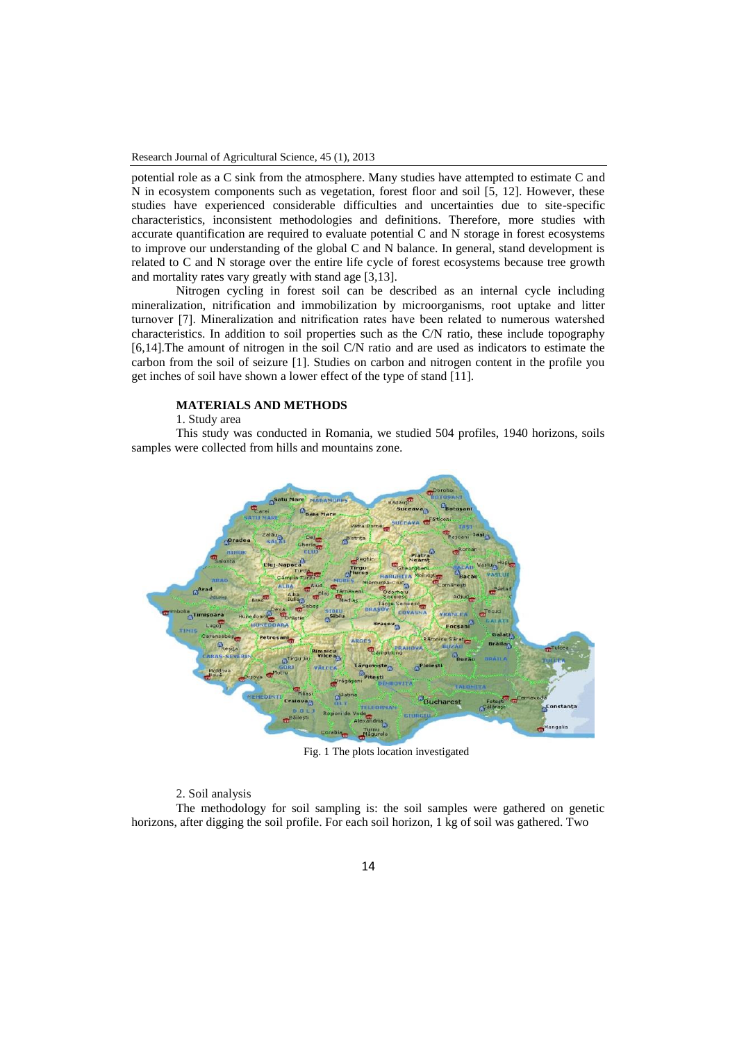potential role as a C sink from the atmosphere. Many studies have attempted to estimate C and N in ecosystem components such as vegetation, forest floor and soil [5, 12]. However, these studies have experienced considerable difficulties and uncertainties due to site-specific characteristics, inconsistent methodologies and definitions. Therefore, more studies with accurate quantification are required to evaluate potential C and N storage in forest ecosystems to improve our understanding of the global C and N balance. In general, stand development is related to C and N storage over the entire life cycle of forest ecosystems because tree growth and mortality rates vary greatly with stand age [3,13].

Nitrogen cycling in forest soil can be described as an internal cycle including mineralization, nitrification and immobilization by microorganisms, root uptake and litter turnover [7]. Mineralization and nitrification rates have been related to numerous watershed characteristics. In addition to soil properties such as the C/N ratio, these include topography [6,14].The amount of nitrogen in the soil C/N ratio and are used as indicators to estimate the carbon from the soil of seizure [1]. Studies on carbon and nitrogen content in the profile you get inches of soil have shown a lower effect of the type of stand [11].

## **MATERIALS AND METHODS**

1. Study area

This study was conducted in Romania, we studied 504 profiles, 1940 horizons, soils samples were collected from hills and mountains zone.



Fig. 1 The plots location investigated

#### 2. Soil analysis

The methodology for soil sampling is: the soil samples were gathered on genetic horizons, after digging the soil profile. For each soil horizon, 1 kg of soil was gathered. Two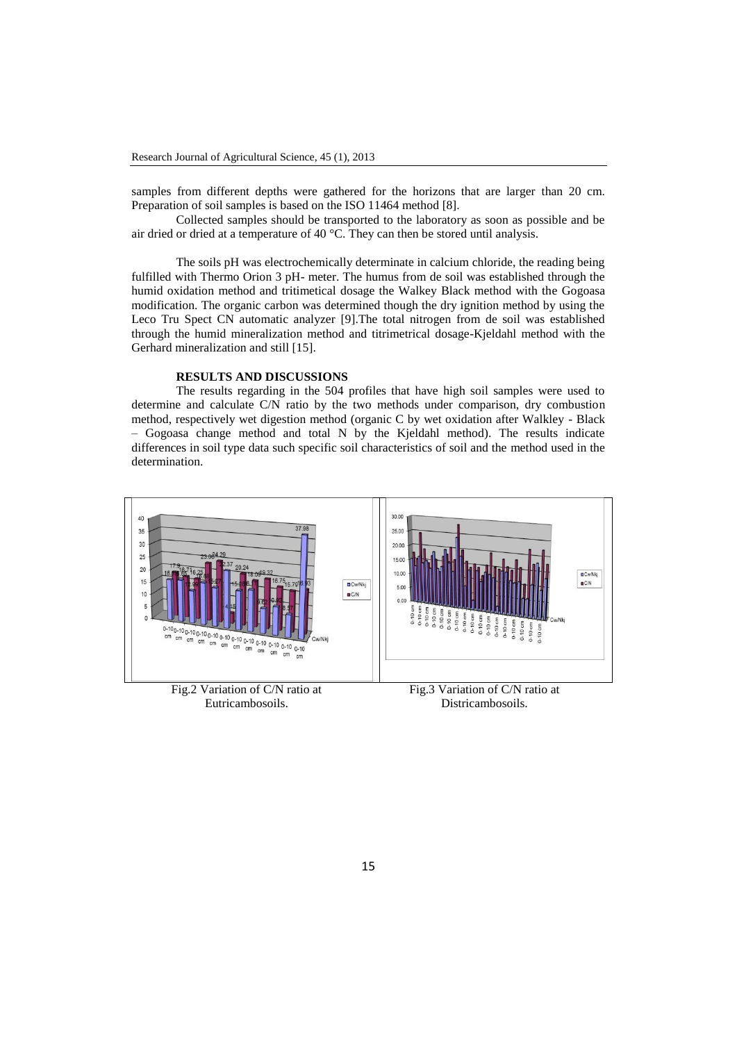samples from different depths were gathered for the horizons that are larger than 20 cm. Preparation of soil samples is based on the ISO 11464 method [8].

Collected samples should be transported to the laboratory as soon as possible and be air dried or dried at a temperature of 40 °C. They can then be stored until analysis.

The soils pH was electrochemically determinate in calcium chloride, the reading being fulfilled with Thermo Orion 3 pH- meter. The humus from de soil was established through the humid oxidation method and tritimetical dosage the Walkey Black method with the Gogoasa modification. The organic carbon was determined though the dry ignition method by using the Leco Tru Spect CN automatic analyzer [9].The total nitrogen from de soil was established through the humid mineralization method and titrimetrical dosage-Kjeldahl method with the Gerhard mineralization and still [15].

## **RESULTS AND DISCUSSIONS**

Eutricambosoils.

The results regarding in the 504 profiles that have high soil samples were used to determine and calculate C/N ratio by the two methods under comparison, dry combustion method, respectively wet digestion method (organic C by wet oxidation after Walkley - Black – Gogoasa change method and total N by the Kjeldahl method). The results indicate differences in soil type data such specific soil characteristics of soil and the method used in the determination.



Districambosoils.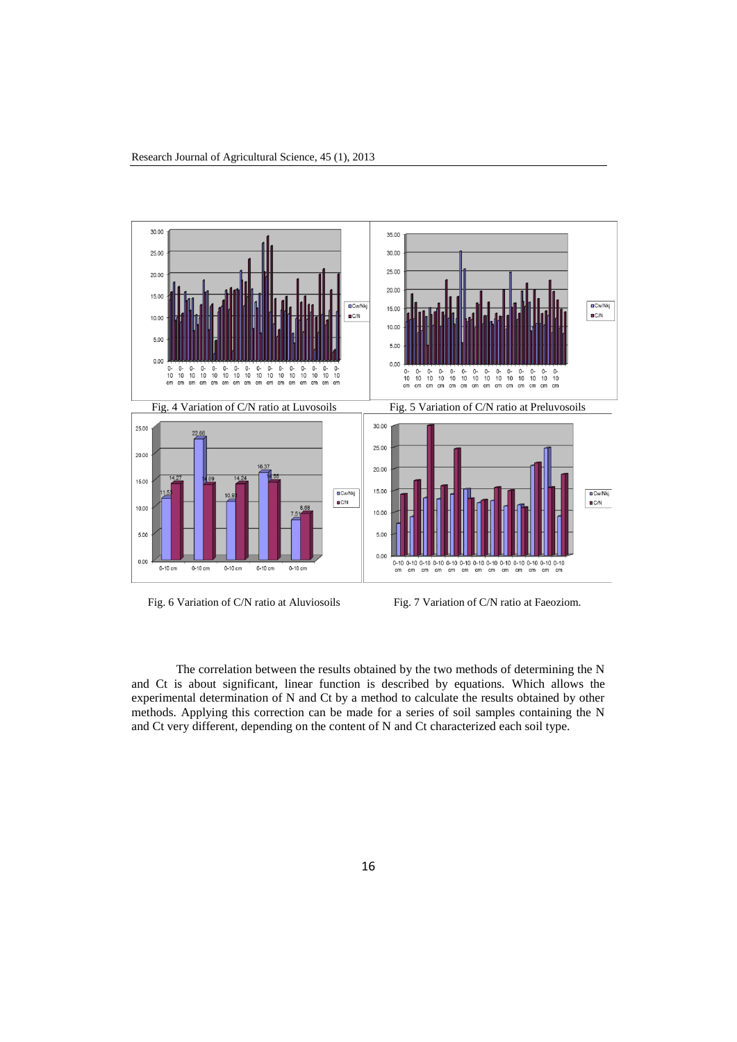

Fig. 6 Variation of C/N ratio at Aluviosoils Fig. 7 Variation of C/N ratio at Faeoziom.

The correlation between the results obtained by the two methods of determining the N and Ct is about significant, linear function is described by equations. Which allows the experimental determination of N and Ct by a method to calculate the results obtained by other methods. Applying this correction can be made for a series of soil samples containing the N and Ct very different, depending on the content of N and Ct characterized each soil type.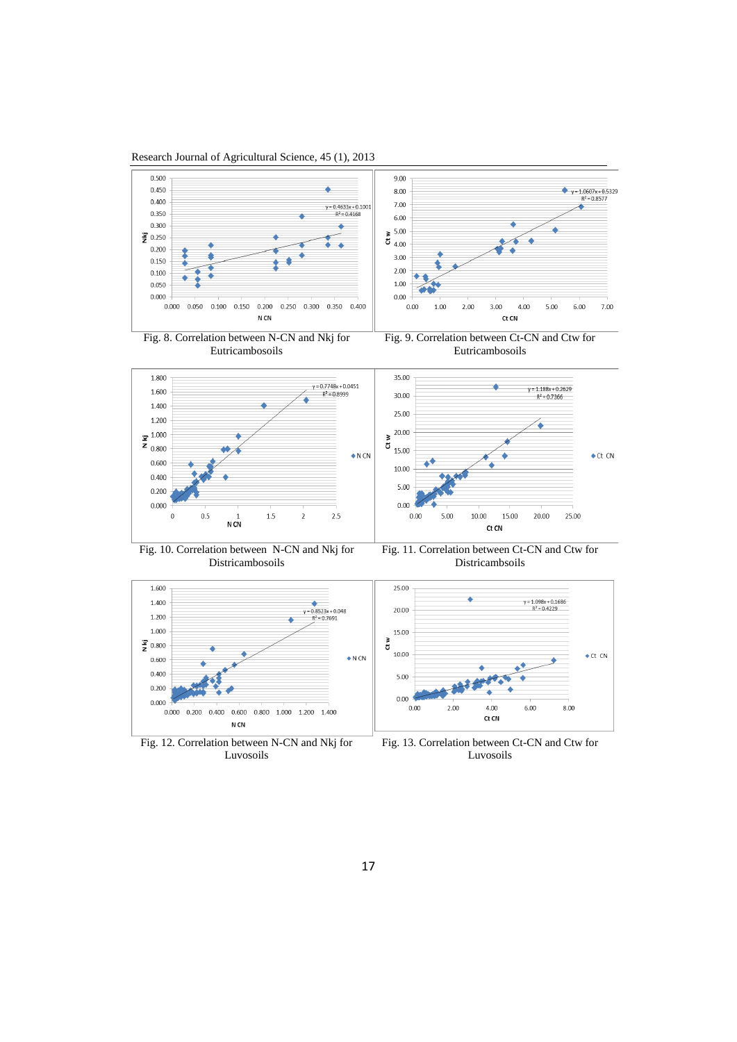



Luvosoils

Luvosoils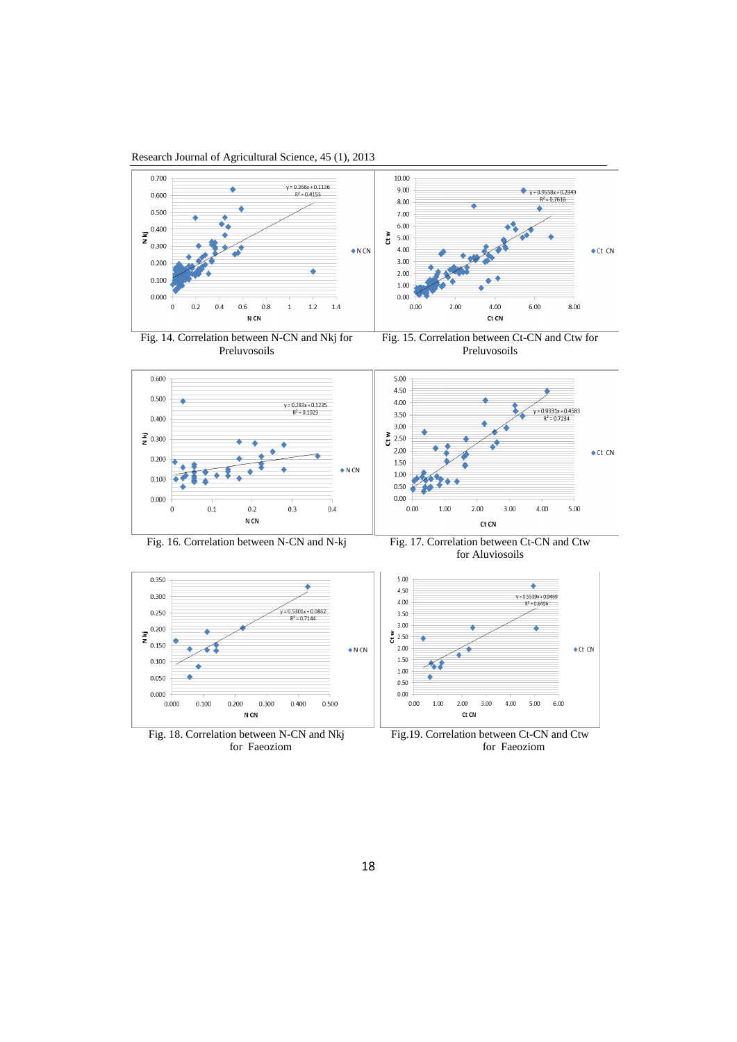Research Journal of Agricultural Science, 45 (1), 2013





Fig. 15. Correlation between Ct-CN and Ctw for Preluvosoils



for Aluviosoils

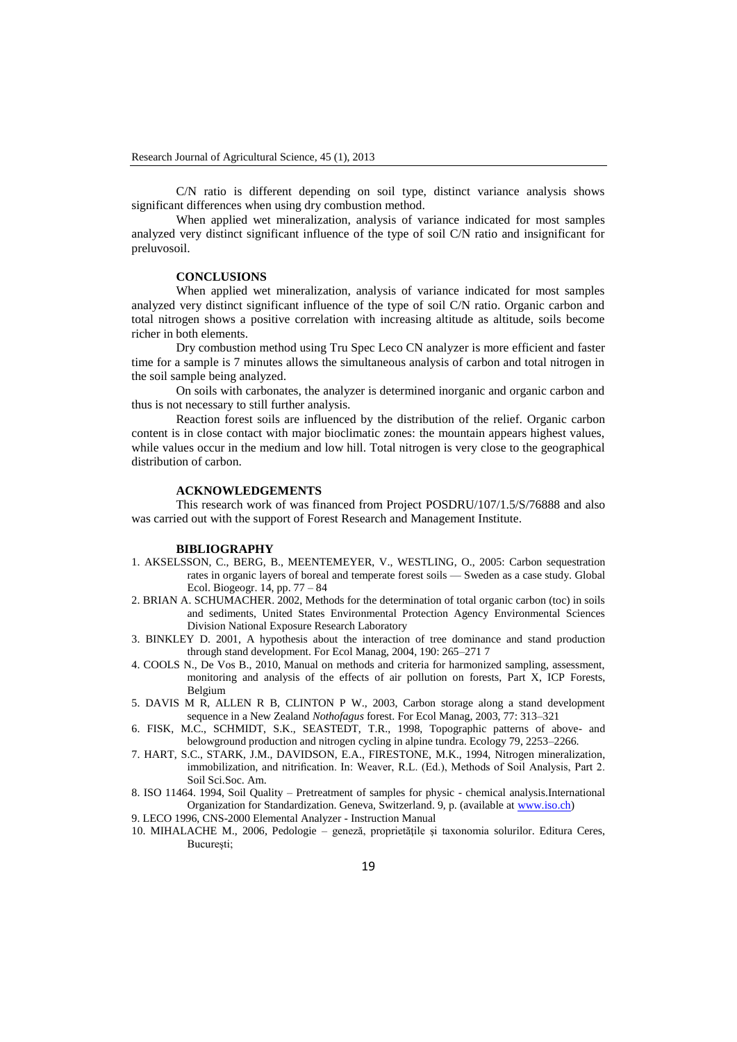C/N ratio is different depending on soil type, distinct variance analysis shows significant differences when using dry combustion method.

When applied wet mineralization, analysis of variance indicated for most samples analyzed very distinct significant influence of the type of soil C/N ratio and insignificant for preluvosoil.

## **CONCLUSIONS**

When applied wet mineralization, analysis of variance indicated for most samples analyzed very distinct significant influence of the type of soil C/N ratio. Organic carbon and total nitrogen shows a positive correlation with increasing altitude as altitude, soils become richer in both elements.

Dry combustion method using Tru Spec Leco CN analyzer is more efficient and faster time for a sample is 7 minutes allows the simultaneous analysis of carbon and total nitrogen in the soil sample being analyzed.

On soils with carbonates, the analyzer is determined inorganic and organic carbon and thus is not necessary to still further analysis.

Reaction forest soils are influenced by the distribution of the relief. Organic carbon content is in close contact with major bioclimatic zones: the mountain appears highest values, while values occur in the medium and low hill. Total nitrogen is very close to the geographical distribution of carbon.

#### **ACKNOWLEDGEMENTS**

This research work of was financed from Project POSDRU/107/1.5/S/76888 and also was carried out with the support of Forest Research and Management Institute.

#### **BIBLIOGRAPHY**

- 1. AKSELSSON, C., BERG, B., MEENTEMEYER, V., WESTLING, O., 2005: Carbon sequestration rates in organic layers of boreal and temperate forest soils — Sweden as a case study. Global Ecol. Biogeogr. 14, pp. 77 – 84
- 2. BRIAN A. SCHUMACHER. 2002, Methods for the determination of total organic carbon (toc) in soils and sediments, United States Environmental Protection Agency Environmental Sciences Division National Exposure Research Laboratory
- 3. BINKLEY D. 2001, A hypothesis about the interaction of tree dominance and stand production through stand development. For Ecol Manag, 2004, 190: 265–271 7
- 4. COOLS N., De Vos B., 2010, Manual on methods and criteria for harmonized sampling, assessment, monitoring and analysis of the effects of air pollution on forests, Part X, ICP Forests, Belgium
- 5. DAVIS M R, ALLEN R B, CLINTON P W., 2003, Carbon storage along a stand development sequence in a New Zealand *Nothofagus* forest. For Ecol Manag, 2003, 77: 313–321
- 6. FISK, M.C., SCHMIDT, S.K., SEASTEDT, T.R., 1998, Topographic patterns of above- and belowground production and nitrogen cycling in alpine tundra. Ecology 79, 2253–2266.
- 7. HART, S.C., STARK, J.M., DAVIDSON, E.A., FIRESTONE, M.K., 1994, Nitrogen mineralization, immobilization, and nitrification. In: Weaver, R.L. (Ed.), Methods of Soil Analysis, Part 2. Soil Sci.Soc. Am.
- 8. ISO 11464. 1994, Soil Quality Pretreatment of samples for physic chemical analysis.International Organization for Standardization. Geneva, Switzerland. 9, p. (available at [www.iso.ch\)](http://www.iso.ch/)
- 9. LECO 1996, CNS-2000 Elemental Analyzer Instruction Manual
- 10. MIHALACHE M., 2006, Pedologie geneză, proprietăţile şi taxonomia solurilor. Editura Ceres, Bucureşti;